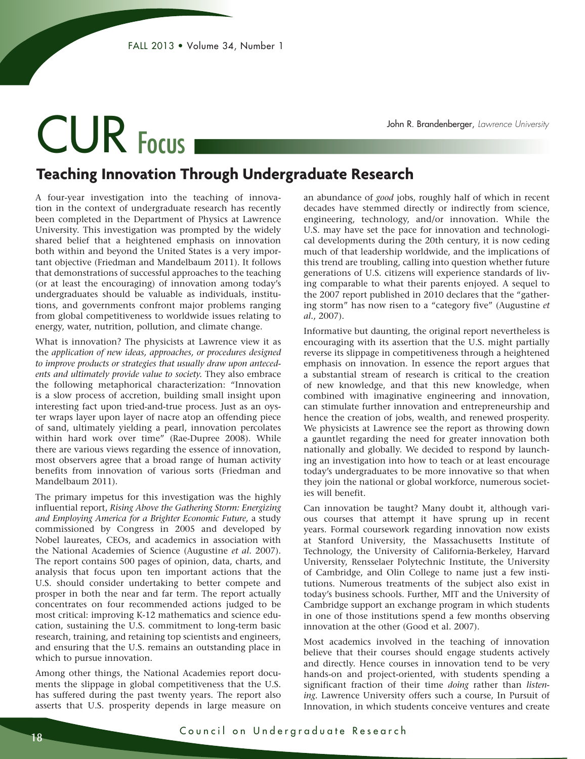# CUR Focus

John R. Brandenberger, *Lawrence University*

### **Teaching Innovation Through Undergraduate Research**

A four-year investigation into the teaching of innovation in the context of undergraduate research has recently been completed in the Department of Physics at Lawrence University. This investigation was prompted by the widely shared belief that a heightened emphasis on innovation both within and beyond the United States is a very important objective (Friedman and Mandelbaum 2011). It follows that demonstrations of successful approaches to the teaching (or at least the encouraging) of innovation among today's undergraduates should be valuable as individuals, institutions, and governments confront major problems ranging from global competitiveness to worldwide issues relating to energy, water, nutrition, pollution, and climate change.

What is innovation? The physicists at Lawrence view it as the *application of new ideas, approaches, or procedures designed to improve products or strategies that usually draw upon antecedents and ultimately provide value to society.* They also embrace the following metaphorical characterization: "Innovation is a slow process of accretion, building small insight upon interesting fact upon tried-and-true process. Just as an oyster wraps layer upon layer of nacre atop an offending piece of sand, ultimately yielding a pearl, innovation percolates within hard work over time" (Rae-Dupree 2008). While there are various views regarding the essence of innovation, most observers agree that a broad range of human activity benefits from innovation of various sorts (Friedman and Mandelbaum 2011).

The primary impetus for this investigation was the highly influential report, *Rising Above the Gathering Storm: Energizing and Employing America for a Brighter Economic Future,* a study commissioned by Congress in 2005 and developed by Nobel laureates, CEOs, and academics in association with the National Academies of Science (Augustine *et al.* 2007). The report contains 500 pages of opinion, data, charts, and analysis that focus upon ten important actions that the U.S. should consider undertaking to better compete and prosper in both the near and far term. The report actually concentrates on four recommended actions judged to be most critical: improving K-12 mathematics and science education, sustaining the U.S. commitment to long-term basic research, training, and retaining top scientists and engineers, and ensuring that the U.S. remains an outstanding place in which to pursue innovation.

Among other things, the National Academies report documents the slippage in global competitiveness that the U.S. has suffered during the past twenty years. The report also asserts that U.S. prosperity depends in large measure on

an abundance of *good* jobs, roughly half of which in recent decades have stemmed directly or indirectly from science, engineering, technology, and/or innovation. While the U.S. may have set the pace for innovation and technological developments during the 20th century, it is now ceding much of that leadership worldwide, and the implications of this trend are troubling, calling into question whether future generations of U.S. citizens will experience standards of living comparable to what their parents enjoyed. A sequel to the 2007 report published in 2010 declares that the "gathering storm" has now risen to a "category five" (Augustine *et al.*, 2007).

Informative but daunting, the original report nevertheless is encouraging with its assertion that the U.S. might partially reverse its slippage in competitiveness through a heightened emphasis on innovation. In essence the report argues that a substantial stream of research is critical to the creation of new knowledge, and that this new knowledge, when combined with imaginative engineering and innovation, can stimulate further innovation and entrepreneurship and hence the creation of jobs, wealth, and renewed prosperity. We physicists at Lawrence see the report as throwing down a gauntlet regarding the need for greater innovation both nationally and globally. We decided to respond by launching an investigation into how to teach or at least encourage today's undergraduates to be more innovative so that when they join the national or global workforce, numerous societies will benefit.

Can innovation be taught? Many doubt it, although various courses that attempt it have sprung up in recent years. Formal coursework regarding innovation now exists at Stanford University, the Massachusetts Institute of Technology, the University of California-Berkeley, Harvard University, Rensselaer Polytechnic Institute, the University of Cambridge, and Olin College to name just a few institutions. Numerous treatments of the subject also exist in today's business schools. Further, MIT and the University of Cambridge support an exchange program in which students in one of those institutions spend a few months observing innovation at the other (Good et al. 2007).

Most academics involved in the teaching of innovation believe that their courses should engage students actively and directly. Hence courses in innovation tend to be very hands-on and project-oriented, with students spending a significant fraction of their time *doing* rather than *listening.* Lawrence University offers such a course, In Pursuit of Innovation, in which students conceive ventures and create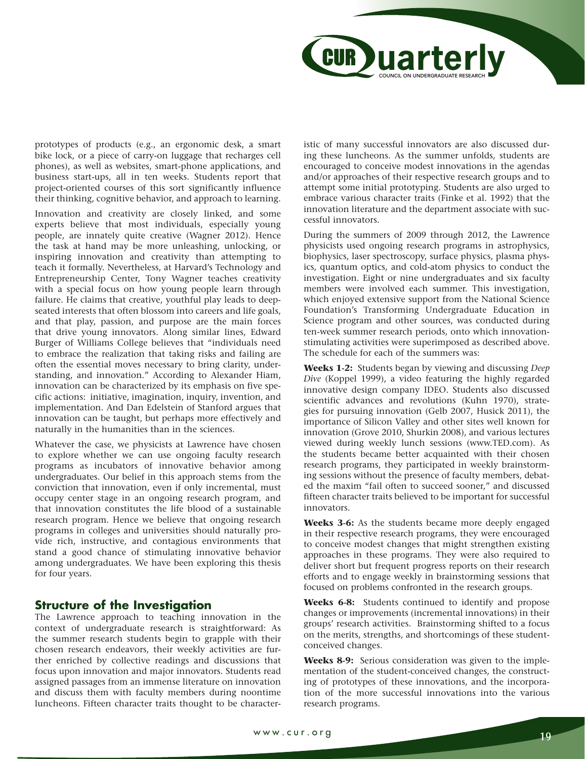

prototypes of products (e.g., an ergonomic desk, a smart bike lock, or a piece of carry-on luggage that recharges cell phones), as well as websites, smart-phone applications, and business start-ups, all in ten weeks. Students report that project-oriented courses of this sort significantly influence their thinking, cognitive behavior, and approach to learning.

Innovation and creativity are closely linked, and some experts believe that most individuals, especially young people, are innately quite creative (Wagner 2012). Hence the task at hand may be more unleashing, unlocking, or inspiring innovation and creativity than attempting to teach it formally. Nevertheless, at Harvard's Technology and Entrepreneurship Center, Tony Wagner teaches creativity with a special focus on how young people learn through failure. He claims that creative, youthful play leads to deepseated interests that often blossom into careers and life goals, and that play, passion, and purpose are the main forces that drive young innovators. Along similar lines, Edward Burger of Williams College believes that "individuals need to embrace the realization that taking risks and failing are often the essential moves necessary to bring clarity, understanding, and innovation." According to Alexander Hiam, innovation can be characterized by its emphasis on five specific actions: initiative, imagination, inquiry, invention, and implementation. And Dan Edelstein of Stanford argues that innovation can be taught, but perhaps more effectively and naturally in the humanities than in the sciences.

Whatever the case, we physicists at Lawrence have chosen to explore whether we can use ongoing faculty research programs as incubators of innovative behavior among undergraduates. Our belief in this approach stems from the conviction that innovation, even if only incremental, must occupy center stage in an ongoing research program, and that innovation constitutes the life blood of a sustainable research program. Hence we believe that ongoing research programs in colleges and universities should naturally provide rich, instructive, and contagious environments that stand a good chance of stimulating innovative behavior among undergraduates. We have been exploring this thesis for four years.

#### **Structure of the Investigation**

The Lawrence approach to teaching innovation in the context of undergraduate research is straightforward: As the summer research students begin to grapple with their chosen research endeavors, their weekly activities are further enriched by collective readings and discussions that focus upon innovation and major innovators. Students read assigned passages from an immense literature on innovation and discuss them with faculty members during noontime luncheons. Fifteen character traits thought to be characteristic of many successful innovators are also discussed during these luncheons. As the summer unfolds, students are encouraged to conceive modest innovations in the agendas and/or approaches of their respective research groups and to attempt some initial prototyping. Students are also urged to embrace various character traits (Finke et al. 1992) that the innovation literature and the department associate with successful innovators.

During the summers of 2009 through 2012, the Lawrence physicists used ongoing research programs in astrophysics, biophysics, laser spectroscopy, surface physics, plasma physics, quantum optics, and cold-atom physics to conduct the investigation. Eight or nine undergraduates and six faculty members were involved each summer. This investigation, which enjoyed extensive support from the National Science Foundation's Transforming Undergraduate Education in Science program and other sources, was conducted during ten-week summer research periods, onto which innovationstimulating activities were superimposed as described above. The schedule for each of the summers was:

**Weeks 1-2:** Students began by viewing and discussing *Deep Dive* (Koppel 1999), a video featuring the highly regarded innovative design company IDEO. Students also discussed scientific advances and revolutions (Kuhn 1970), strategies for pursuing innovation (Gelb 2007, Husick 2011), the importance of Silicon Valley and other sites well known for innovation (Grove 2010, Shurkin 2008), and various lectures viewed during weekly lunch sessions (www.TED.com). As the students became better acquainted with their chosen research programs, they participated in weekly brainstorming sessions without the presence of faculty members, debated the maxim "fail often to succeed sooner," and discussed fifteen character traits believed to be important for successful innovators.

**Weeks 3-6:** As the students became more deeply engaged in their respective research programs, they were encouraged to conceive modest changes that might strengthen existing approaches in these programs. They were also required to deliver short but frequent progress reports on their research efforts and to engage weekly in brainstorming sessions that focused on problems confronted in the research groups.

**Weeks 6-8:** Students continued to identify and propose changes or improvements (incremental innovations) in their groups' research activities. Brainstorming shifted to a focus on the merits, strengths, and shortcomings of these studentconceived changes.

**Weeks 8-9:** Serious consideration was given to the implementation of the student-conceived changes, the constructing of prototypes of these innovations, and the incorporation of the more successful innovations into the various research programs.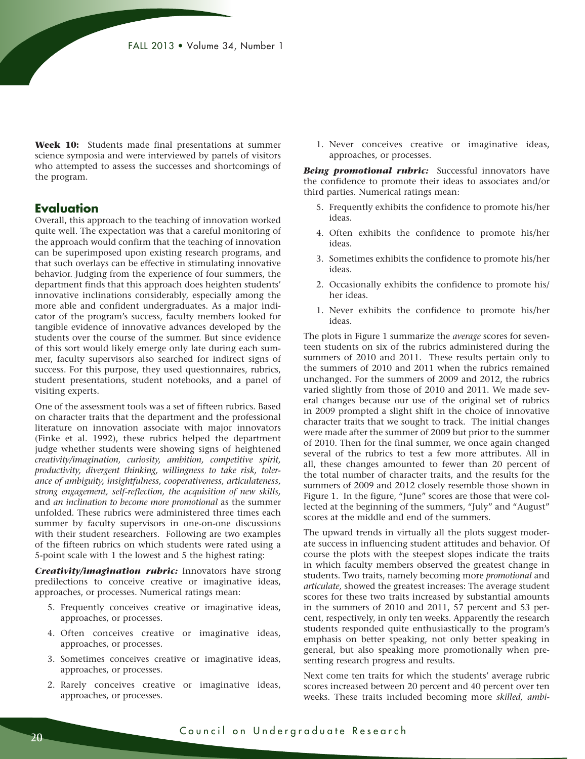**Week 10:** Students made final presentations at summer science symposia and were interviewed by panels of visitors who attempted to assess the successes and shortcomings of the program.

#### **Evaluation**

Overall, this approach to the teaching of innovation worked quite well. The expectation was that a careful monitoring of the approach would confirm that the teaching of innovation can be superimposed upon existing research programs, and that such overlays can be effective in stimulating innovative behavior. Judging from the experience of four summers, the department finds that this approach does heighten students' innovative inclinations considerably, especially among the more able and confident undergraduates. As a major indicator of the program's success, faculty members looked for tangible evidence of innovative advances developed by the students over the course of the summer. But since evidence of this sort would likely emerge only late during each summer, faculty supervisors also searched for indirect signs of success. For this purpose, they used questionnaires, rubrics, student presentations, student notebooks, and a panel of visiting experts.

One of the assessment tools was a set of fifteen rubrics. Based on character traits that the department and the professional literature on innovation associate with major innovators (Finke et al. 1992), these rubrics helped the department judge whether students were showing signs of heightened *creativity/imagination, curiosity, ambition, competitive spirit, productivity, divergent thinking, willingness to take risk, tolerance of ambiguity, insightfulness, cooperativeness, articulateness, strong engagement, self-reflection, the acquisition of new skills,* and *an inclination to become more promotional* as the summer unfolded. These rubrics were administered three times each summer by faculty supervisors in one-on-one discussions with their student researchers. Following are two examples of the fifteen rubrics on which students were rated using a 5-point scale with 1 the lowest and 5 the highest rating:

*Creativity/imagination rubric:* Innovators have strong predilections to conceive creative or imaginative ideas, approaches, or processes. Numerical ratings mean:

- 5. Frequently conceives creative or imaginative ideas, approaches, or processes.
- 4. Often conceives creative or imaginative ideas, approaches, or processes.
- 3. Sometimes conceives creative or imaginative ideas, approaches, or processes.
- 2. Rarely conceives creative or imaginative ideas, approaches, or processes.

 1. Never conceives creative or imaginative ideas, approaches, or processes.

**Being promotional rubric:** Successful innovators have the confidence to promote their ideas to associates and/or third parties. Numerical ratings mean:

- 5. Frequently exhibits the confidence to promote his/her ideas.
- 4. Often exhibits the confidence to promote his/her ideas.
- 3. Sometimes exhibits the confidence to promote his/her ideas.
- 2. Occasionally exhibits the confidence to promote his/ her ideas.
- 1. Never exhibits the confidence to promote his/her ideas.

The plots in Figure 1 summarize the *average* scores for seventeen students on six of the rubrics administered during the summers of 2010 and 2011. These results pertain only to the summers of 2010 and 2011 when the rubrics remained unchanged. For the summers of 2009 and 2012, the rubrics varied slightly from those of 2010 and 2011. We made several changes because our use of the original set of rubrics in 2009 prompted a slight shift in the choice of innovative character traits that we sought to track. The initial changes were made after the summer of 2009 but prior to the summer of 2010. Then for the final summer, we once again changed several of the rubrics to test a few more attributes. All in all, these changes amounted to fewer than 20 percent of the total number of character traits, and the results for the summers of 2009 and 2012 closely resemble those shown in Figure 1. In the figure, "June" scores are those that were collected at the beginning of the summers, "July" and "August" scores at the middle and end of the summers.

The upward trends in virtually all the plots suggest moderate success in influencing student attitudes and behavior. Of course the plots with the steepest slopes indicate the traits in which faculty members observed the greatest change in students. Two traits, namely becoming more *promotional* and *articulate,* showed the greatest increases: The average student scores for these two traits increased by substantial amounts in the summers of 2010 and 2011, 57 percent and 53 percent, respectively, in only ten weeks. Apparently the research students responded quite enthusiastically to the program's emphasis on better speaking, not only better speaking in general, but also speaking more promotionally when presenting research progress and results.

Next come ten traits for which the students' average rubric scores increased between 20 percent and 40 percent over ten weeks. These traits included becoming more *skilled, ambi-*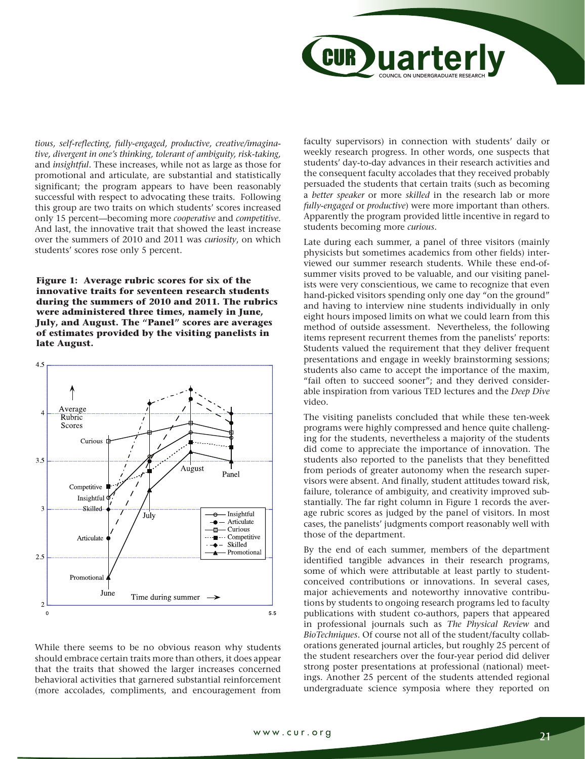

*tious, self-reflecting, fully-engaged, productive, creative/imaginative, divergent in one's thinking, tolerant of ambiguity, risk-taking,*  and *insightful.* These increases, while not as large as those for promotional and articulate, are substantial and statistically significant; the program appears to have been reasonably successful with respect to advocating these traits. Following this group are two traits on which students' scores increased only 15 percent—becoming more *cooperative* and *competitive*. And last, the innovative trait that showed the least increase over the summers of 2010 and 2011 was *curiosity*, on which students' scores rose only 5 percent.

**Figure 1: Average rubric scores for six of the innovative traits for seventeen research students during the summers of 2010 and 2011. The rubrics were administered three times, namely in June, July, and August. The "Panel" scores are averages of estimates provided by the visiting panelists in late August.**



While there seems to be no obvious reason why students should embrace certain traits more than others, it does appear that the traits that showed the larger increases concerned behavioral activities that garnered substantial reinforcement (more accolades, compliments, and encouragement from

faculty supervisors) in connection with students' daily or weekly research progress. In other words, one suspects that students' day-to-day advances in their research activities and the consequent faculty accolades that they received probably persuaded the students that certain traits (such as becoming a *better speaker* or more *skilled* in the research lab or more *fully-engaged* or *productive*) were more important than others. Apparently the program provided little incentive in regard to students becoming more *curious*.

Late during each summer, a panel of three visitors (mainly physicists but sometimes academics from other fields) interviewed our summer research students. While these end-ofsummer visits proved to be valuable, and our visiting panelists were very conscientious, we came to recognize that even hand-picked visitors spending only one day "on the ground" and having to interview nine students individually in only eight hours imposed limits on what we could learn from this method of outside assessment. Nevertheless, the following items represent recurrent themes from the panelists' reports: Students valued the requirement that they deliver frequent presentations and engage in weekly brainstorming sessions; students also came to accept the importance of the maxim, "fail often to succeed sooner"; and they derived considerable inspiration from various TED lectures and the *Deep Dive*  video.

The visiting panelists concluded that while these ten-week programs were highly compressed and hence quite challenging for the students, nevertheless a majority of the students did come to appreciate the importance of innovation. The students also reported to the panelists that they benefitted from periods of greater autonomy when the research supervisors were absent. And finally, student attitudes toward risk, failure, tolerance of ambiguity, and creativity improved substantially. The far right column in Figure 1 records the average rubric scores as judged by the panel of visitors. In most cases, the panelists' judgments comport reasonably well with those of the department.

By the end of each summer, members of the department identified tangible advances in their research programs, some of which were attributable at least partly to studentconceived contributions or innovations. In several cases, major achievements and noteworthy innovative contributions by students to ongoing research programs led to faculty publications with student co-authors, papers that appeared in professional journals such as *The Physical Review* and *BioTechniques*. Of course not all of the student/faculty collaborations generated journal articles, but roughly 25 percent of the student researchers over the four-year period did deliver strong poster presentations at professional (national) meetings. Another 25 percent of the students attended regional undergraduate science symposia where they reported on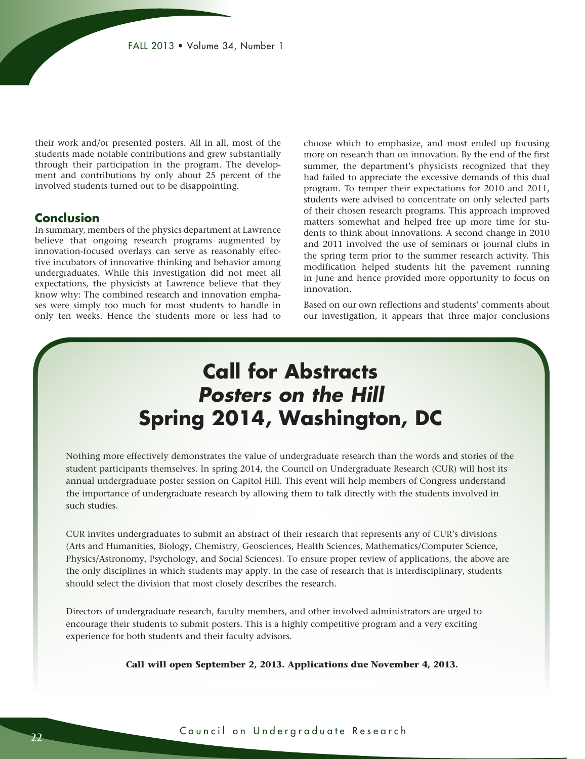their work and/or presented posters. All in all, most of the students made notable contributions and grew substantially through their participation in the program. The development and contributions by only about 25 percent of the involved students turned out to be disappointing.

#### **Conclusion**

In summary, members of the physics department at Lawrence believe that ongoing research programs augmented by innovation-focused overlays can serve as reasonably effective incubators of innovative thinking and behavior among undergraduates. While this investigation did not meet all expectations, the physicists at Lawrence believe that they know why: The combined research and innovation emphases were simply too much for most students to handle in only ten weeks. Hence the students more or less had to

choose which to emphasize, and most ended up focusing more on research than on innovation. By the end of the first summer, the department's physicists recognized that they had failed to appreciate the excessive demands of this dual program. To temper their expectations for 2010 and 2011, students were advised to concentrate on only selected parts of their chosen research programs. This approach improved matters somewhat and helped free up more time for students to think about innovations. A second change in 2010 and 2011 involved the use of seminars or journal clubs in the spring term prior to the summer research activity. This modification helped students hit the pavement running in June and hence provided more opportunity to focus on innovation.

Based on our own reflections and students' comments about our investigation, it appears that three major conclusions

## **Call for Abstracts** *Posters on the Hill* **Spring 2014, Washington, DC**

Nothing more effectively demonstrates the value of undergraduate research than the words and stories of the student participants themselves. In spring 2014, the Council on Undergraduate Research (CUR) will host its annual undergraduate poster session on Capitol Hill. This event will help members of Congress understand the importance of undergraduate research by allowing them to talk directly with the students involved in such studies.

CUR invites undergraduates to submit an abstract of their research that represents any of CUR's divisions (Arts and Humanities, Biology, Chemistry, Geosciences, Health Sciences, Mathematics/Computer Science, Physics/Astronomy, Psychology, and Social Sciences). To ensure proper review of applications, the above are the only disciplines in which students may apply. In the case of research that is interdisciplinary, students should select the division that most closely describes the research.

Directors of undergraduate research, faculty members, and other involved administrators are urged to encourage their students to submit posters. This is a highly competitive program and a very exciting experience for both students and their faculty advisors.

**Call will open September 2, 2013. Applications due November 4, 2013.**